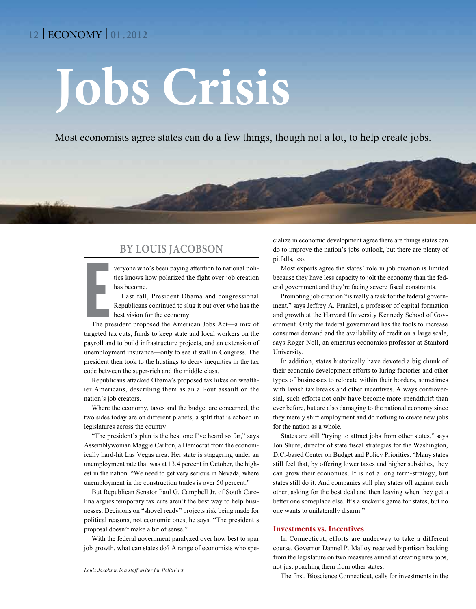# **12** | ECONOMY | **01 .2012**

# **Jobs Crisis**

Most economists agree states can do a few things, though not a lot, to help create jobs.

### **By Louis Jacobson**

veryone who's been paying attention to national politics knows how polarized the fight over job creation has become.

Last fall, President Obama and congressional Republicans continued to slug it out over who has the best vision for the economy.

Experience of the process of the process of the process of the process of the contract of the contract of the contract of the contract of the contract of the contract of the contract of the contract of the contract of the The president proposed the American Jobs Act—a mix of targeted tax cuts, funds to keep state and local workers on the payroll and to build infrastructure projects, and an extension of unemployment insurance—only to see it stall in Congress. The president then took to the hustings to decry inequities in the tax code between the super-rich and the middle class.

Republicans attacked Obama's proposed tax hikes on wealthier Americans, describing them as an all-out assault on the nation's job creators.

Where the economy, taxes and the budget are concerned, the two sides today are on different planets, a split that is echoed in legislatures across the country.

"The president's plan is the best one I've heard so far," says Assemblywoman Maggie Carlton, a Democrat from the economically hard-hit Las Vegas area. Her state is staggering under an unemployment rate that was at 13.4 percent in October, the highest in the nation. "We need to get very serious in Nevada, where unemployment in the construction trades is over 50 percent."

But Republican Senator Paul G. Campbell Jr. of South Carolina argues temporary tax cuts aren't the best way to help businesses. Decisions on "shovel ready" projects risk being made for political reasons, not economic ones, he says. "The president's proposal doesn't make a bit of sense."

With the federal government paralyzed over how best to spur job growth, what can states do? A range of economists who specialize in economic development agree there are things states can do to improve the nation's jobs outlook, but there are plenty of pitfalls, too.

Most experts agree the states' role in job creation is limited because they have less capacity to jolt the economy than the federal government and they're facing severe fiscal constraints.

Promoting job creation "is really a task for the federal government," says Jeffrey A. Frankel, a professor of capital formation and growth at the Harvard University Kennedy School of Government. Only the federal government has the tools to increase consumer demand and the availability of credit on a large scale, says Roger Noll, an emeritus economics professor at Stanford University.

In addition, states historically have devoted a big chunk of their economic development efforts to luring factories and other types of businesses to relocate within their borders, sometimes with lavish tax breaks and other incentives. Always controversial, such efforts not only have become more spendthrift than ever before, but are also damaging to the national economy since they merely shift employment and do nothing to create new jobs for the nation as a whole.

States are still "trying to attract jobs from other states," says Jon Shure, director of state fiscal strategies for the Washington, D.C.-based Center on Budget and Policy Priorities. "Many states still feel that, by offering lower taxes and higher subsidies, they can grow their economies. It is not a long term-strategy, but states still do it. And companies still play states off against each other, asking for the best deal and then leaving when they get a better one someplace else. It's a sucker's game for states, but no one wants to unilaterally disarm."

#### **Investments vs. Incentives**

In Connecticut, efforts are underway to take a different course. Governor Dannel P. Malloy received bipartisan backing from the legislature on two measures aimed at creating new jobs, not just poaching them from other states.

The first, Bioscience Connecticut, calls for investments in the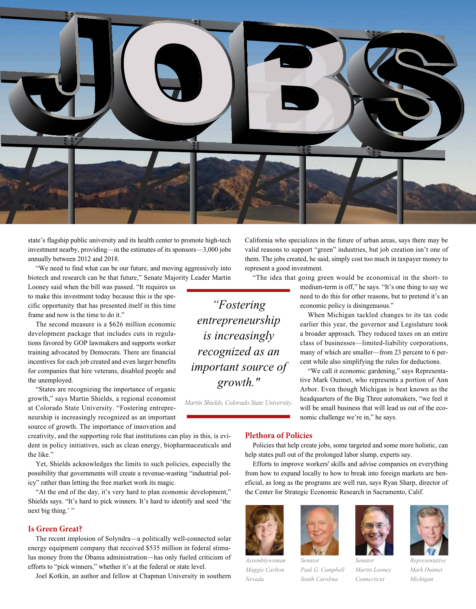

state's flagship public university and its health center to promote high-tech investment nearby, providing—in the estimates of its sponsors—3,000 jobs annually between 2012 and 2018.

"We need to find what can be our future, and moving aggressively into biotech and research can be that future," Senate Majority Leader Martin

Looney said when the bill was passed. "It requires us to make this investment today because this is the specific opportunity that has presented itself in this time frame and now is the time to do it."

The second measure is a \$626 million economic development package that includes cuts in regulations favored by GOP lawmakers and supports worker training advocated by Democrats. There are financial incentives for each job created and even larger benefits for companies that hire veterans, disabled people and the unemployed.

"States are recognizing the importance of organic growth," says Martin Shields, a regional economist at Colorado State University. "Fostering entrepreneurship is increasingly recognized as an important source of growth. The importance of innovation and

creativity, and the supporting role that institutions can play in this, is evident in policy initiatives, such as clean energy, biopharmaceuticals and the like."

Yet, Shields acknowledges the limits to such policies, especially the possibility that governments will create a revenue-wasting "industrial policy" rather than letting the free market work its magic.

"At the end of the day, it's very hard to plan economic development," Shields says. "It's hard to pick winners. It's hard to identify and seed 'the next big thing.'"

#### **Is Green Great?**

The recent implosion of Solyndra—a politically well-connected solar energy equipment company that received \$535 million in federal stimulus money from the Obama administration—has only fueled criticism of efforts to "pick winners," whether it's at the federal or state level.

Joel Kotkin, an author and fellow at Chapman University in southern

California who specializes in the future of urban areas, says there may be valid reasons to support "green" industries, but job creation isn't one of them. The jobs created, he said, simply cost too much in taxpayer money to represent a good investment.

*"Fostering entrepreneurship is increasingly recognized as an important source of growth."*

*Martin Shields, Colorado State University.*

"The idea that going green would be economical in the short- to medium-term is off," he says. "It's one thing to say we need to do this for other reasons, but to pretend it's an economic policy is disingenuous."

> When Michigan tackled changes to its tax code earlier this year, the governor and Legislature took a broader approach. They reduced taxes on an entire class of businesses—limited-liability corporations, many of which are smaller—from 23 percent to 6 percent while also simplifying the rules for deductions.

> "We call it economic gardening," says Representative Mark Ouimet, who represents a portion of Ann Arbor. Even though Michigan is best known as the headquarters of the Big Three automakers, "we feel it will be small business that will lead us out of the economic challenge we're in," he says.

#### **Plethora of Policies**

Policies that help create jobs, some targeted and some more holistic, can help states pull out of the prolonged labor slump, experts say.

Efforts to improve workers' skills and advise companies on everything from how to expand locally to how to break into foreign markets are beneficial, as long as the programs are well run, says Ryan Sharp, director of the Center for Strategic Economic Research in Sacramento, Calif.



*Assemblywoman Maggie Carlton Nevada*



*Senator* 

*Paul G. Campbell South Carolina*



*Senator Martin Looney Connecticut*



*Representative Mark Ouimet Michigan*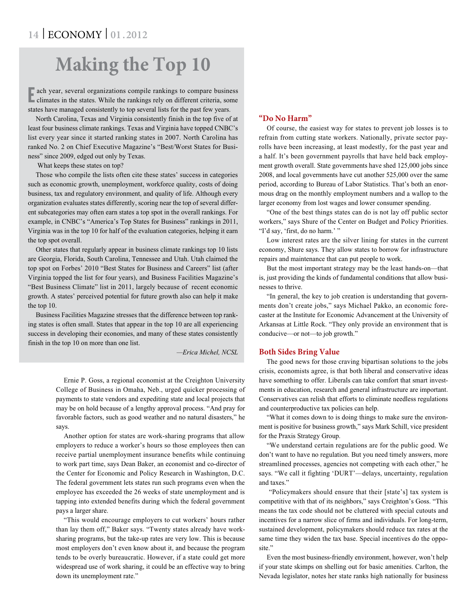# **Making the Top 10**

**Exercise 1** compare several organizations compile rankings to compare business climates in the states. While the rankings rely on different criteria, some climates in the states. While the rankings rely on different criteria, some states have managed consistently to top several lists for the past few years.

North Carolina, Texas and Virginia consistently finish in the top five of at least four business climate rankings. Texas and Virginia have topped CNBC's list every year since it started ranking states in 2007. North Carolina has ranked No. 2 on Chief Executive Magazine's "Best/Worst States for Business" since 2009, edged out only by Texas.

What keeps these states on top?

Those who compile the lists often cite these states' success in categories such as economic growth, unemployment, workforce quality, costs of doing business, tax and regulatory environment, and quality of life. Although every organization evaluates states differently, scoring near the top of several different subcategories may often earn states a top spot in the overall rankings. For example, in CNBC's "America's Top States for Business" rankings in 2011, Virginia was in the top 10 for half of the evaluation categories, helping it earn the top spot overall.

Other states that regularly appear in business climate rankings top 10 lists are Georgia, Florida, South Carolina, Tennessee and Utah. Utah claimed the top spot on Forbes' 2010 "Best States for Business and Careers" list (after Virginia topped the list for four years), and Business Facilities Magazine's "Best Business Climate" list in 2011, largely because of recent economic growth. A states' perceived potential for future growth also can help it make the top 10.

Business Facilities Magazine stresses that the difference between top ranking states is often small. States that appear in the top 10 are all experiencing success in developing their economies, and many of these states consistently finish in the top 10 on more than one list.

*—Erica Michel, NCSL*

Ernie P. Goss, a regional economist at the Creighton University College of Business in Omaha, Neb., urged quicker processing of payments to state vendors and expediting state and local projects that may be on hold because of a lengthy approval process. "And pray for favorable factors, such as good weather and no natural disasters," he says.

Another option for states are work-sharing programs that allow employers to reduce a worker's hours so those employees then can receive partial unemployment insurance benefits while continuing to work part time, says Dean Baker, an economist and co-director of the Center for Economic and Policy Research in Washington, D.C. The federal government lets states run such programs even when the employee has exceeded the 26 weeks of state unemployment and is tapping into extended benefits during which the federal government pays a larger share.

"This would encourage employers to cut workers' hours rather than lay them off," Baker says. "Twenty states already have worksharing programs, but the take-up rates are very low. This is because most employers don't even know about it, and because the program tends to be overly bureaucratic. However, if a state could get more widespread use of work sharing, it could be an effective way to bring down its unemployment rate."

#### **"Do No Harm"**

Of course, the easiest way for states to prevent job losses is to refrain from cutting state workers. Nationally, private sector payrolls have been increasing, at least modestly, for the past year and a half. It's been government payrolls that have held back employment growth overall. State governments have shed 125,000 jobs since 2008, and local governments have cut another 525,000 over the same period, according to Bureau of Labor Statistics. That's both an enormous drag on the monthly employment numbers and a wallop to the larger economy from lost wages and lower consumer spending.

"One of the best things states can do is not lay off public sector workers," says Shure of the Center on Budget and Policy Priorities. "I'd say, 'first, do no harm.' "

Low interest rates are the silver lining for states in the current economy, Shure says. They allow states to borrow for infrastructure repairs and maintenance that can put people to work.

But the most important strategy may be the least hands-on—that is, just providing the kinds of fundamental conditions that allow businesses to thrive.

"In general, the key to job creation is understanding that governments don't create jobs," says Michael Pakko, an economic forecaster at the Institute for Economic Advancement at the University of Arkansas at Little Rock. "They only provide an environment that is conducive—or not—to job growth."

#### **Both Sides Bring Value**

The good news for those craving bipartisan solutions to the jobs crisis, economists agree, is that both liberal and conservative ideas have something to offer. Liberals can take comfort that smart investments in education, research and general infrastructure are important. Conservatives can relish that efforts to eliminate needless regulations and counterproductive tax policies can help.

"What it comes down to is doing things to make sure the environment is positive for business growth," says Mark Schill, vice president for the Praxis Strategy Group.

"We understand certain regulations are for the public good. We don't want to have no regulation. But you need timely answers, more streamlined processes, agencies not competing with each other," he says. "We call it fighting 'DURT'—delays, uncertainty, regulation and taxes."

 "Policymakers should ensure that their [state's] tax system is competitive with that of its neighbors," says Creighton's Goss. "This means the tax code should not be cluttered with special cutouts and incentives for a narrow slice of firms and individuals. For long-term, sustained development, policymakers should reduce tax rates at the same time they widen the tax base. Special incentives do the opposite."

Even the most business-friendly environment, however, won't help if your state skimps on shelling out for basic amenities. Carlton, the Nevada legislator, notes her state ranks high nationally for business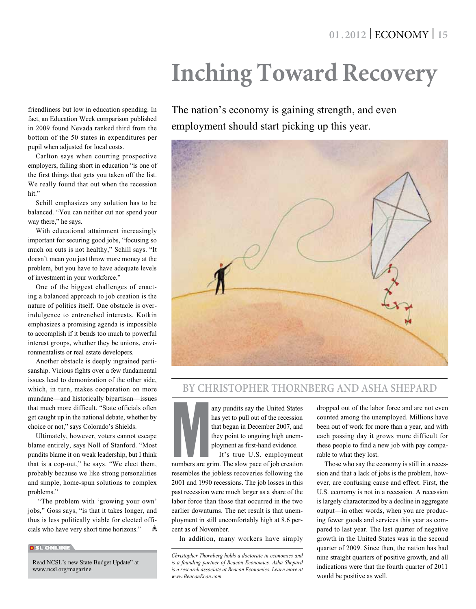## **01 .2012** | ECONOMY | **15**

# **Inching Toward Recovery**

friendliness but low in education spending. In fact, an Education Week comparison published in 2009 found Nevada ranked third from the bottom of the 50 states in expenditures per pupil when adjusted for local costs.

Carlton says when courting prospective employers, falling short in education "is one of the first things that gets you taken off the list. We really found that out when the recession hit."

Schill emphasizes any solution has to be balanced. "You can neither cut nor spend your way there," he says.

With educational attainment increasingly important for securing good jobs, "focusing so much on cuts is not healthy," Schill says. "It doesn't mean you just throw more money at the problem, but you have to have adequate levels of investment in your workforce."

One of the biggest challenges of enacting a balanced approach to job creation is the nature of politics itself. One obstacle is overindulgence to entrenched interests. Kotkin emphasizes a promising agenda is impossible to accomplish if it bends too much to powerful interest groups, whether they be unions, environmentalists or real estate developers.

Another obstacle is deeply ingrained partisanship. Vicious fights over a few fundamental issues lead to demonization of the other side, which, in turn, makes cooperation on more mundane—and historically bipartisan—issues that much more difficult. "State officials often get caught up in the national debate, whether by choice or not," says Colorado's Shields.

Ultimately, however, voters cannot escape blame entirely, says Noll of Stanford. "Most pundits blame it on weak leadership, but I think that is a cop-out," he says. "We elect them, probably because we like strong personalities and simple, home-spun solutions to complex problems."

 "The problem with 'growing your own' jobs," Goss says, "is that it takes longer, and thus is less politically viable for elected officials who have very short time horizons." m

**OSL ONLINE** 

Read NCSL's new State Budget Update" at www.ncsl.org/magazine.

The nation's economy is gaining strength, and even employment should start picking up this year.



#### **By Christopher Thornberg and Asha Shepard**

M any pundits say the United States has yet to pull out of the recession that began in December 2007, and they point to ongoing high unemployment as first-hand evidence. It's true U.S. employment

numbers are grim. The slow pace of job creation resembles the jobless recoveries following the 2001 and 1990 recessions. The job losses in this past recession were much larger as a share of the labor force than those that occurred in the two earlier downturns. The net result is that unemployment in still uncomfortably high at 8.6 percent as of November.

In addition, many workers have simply

dropped out of the labor force and are not even counted among the unemployed. Millions have been out of work for more than a year, and with each passing day it grows more difficult for these people to find a new job with pay comparable to what they lost.

Those who say the economy is still in a recession and that a lack of jobs is the problem, however, are confusing cause and effect. First, the U.S. economy is not in a recession. A recession is largely characterized by a decline in aggregate output—in other words, when you are producing fewer goods and services this year as compared to last year. The last quarter of negative growth in the United States was in the second quarter of 2009. Since then, the nation has had nine straight quarters of positive growth, and all indications were that the fourth quarter of 2011 would be positive as well.

*Christopher Thornberg holds a doctorate in economics and is a founding partner of Beacon Economics. Asha Shepard is a research associate at Beacon Economics. Learn more at www.BeaconEcon.com.*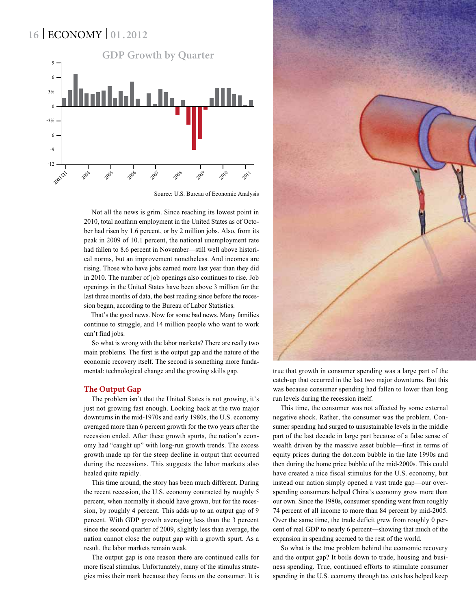## **16** | ECONOMY | **01 .2012**



Source: U.S. Bureau of Economic Analysis

Not all the news is grim. Since reaching its lowest point in 2010, total nonfarm employment in the United States as of October had risen by 1.6 percent, or by 2 million jobs. Also, from its peak in 2009 of 10.1 percent, the national unemployment rate had fallen to 8.6 percent in November—still well above historical norms, but an improvement nonetheless. And incomes are rising. Those who have jobs earned more last year than they did in 2010. The number of job openings also continues to rise. Job openings in the United States have been above 3 million for the last three months of data, the best reading since before the recession began, according to the Bureau of Labor Statistics.

That's the good news. Now for some bad news. Many families continue to struggle, and 14 million people who want to work can't find jobs.

So what is wrong with the labor markets? There are really two main problems. The first is the output gap and the nature of the economic recovery itself. The second is something more fundamental: technological change and the growing skills gap.

#### **The Output Gap**

The problem isn't that the United States is not growing, it's just not growing fast enough. Looking back at the two major downturns in the mid-1970s and early 1980s, the U.S. economy averaged more than 6 percent growth for the two years after the recession ended. After these growth spurts, the nation's economy had "caught up" with long-run growth trends. The excess growth made up for the steep decline in output that occurred during the recessions. This suggests the labor markets also healed quite rapidly.

This time around, the story has been much different. During the recent recession, the U.S. economy contracted by roughly 5 percent, when normally it should have grown, but for the recession, by roughly 4 percent. This adds up to an output gap of 9 percent. With GDP growth averaging less than the 3 percent since the second quarter of 2009, slightly less than average, the nation cannot close the output gap with a growth spurt. As a result, the labor markets remain weak.

The output gap is one reason there are continued calls for more fiscal stimulus. Unfortunately, many of the stimulus strategies miss their mark because they focus on the consumer. It is



true that growth in consumer spending was a large part of the catch-up that occurred in the last two major downturns. But this was because consumer spending had fallen to lower than long run levels during the recession itself.

This time, the consumer was not affected by some external negative shock. Rather, the consumer was the problem. Consumer spending had surged to unsustainable levels in the middle part of the last decade in large part because of a false sense of wealth driven by the massive asset bubble—first in terms of equity prices during the dot.com bubble in the late 1990s and then during the home price bubble of the mid-2000s. This could have created a nice fiscal stimulus for the U.S. economy, but instead our nation simply opened a vast trade gap—our overspending consumers helped China's economy grow more than our own. Since the 1980s, consumer spending went from roughly 74 percent of all income to more than 84 percent by mid-2005. Over the same time, the trade deficit grew from roughly 0 percent of real GDP to nearly 6 percent—showing that much of the expansion in spending accrued to the rest of the world.

So what is the true problem behind the economic recovery and the output gap? It boils down to trade, housing and business spending. True, continued efforts to stimulate consumer spending in the U.S. economy through tax cuts has helped keep